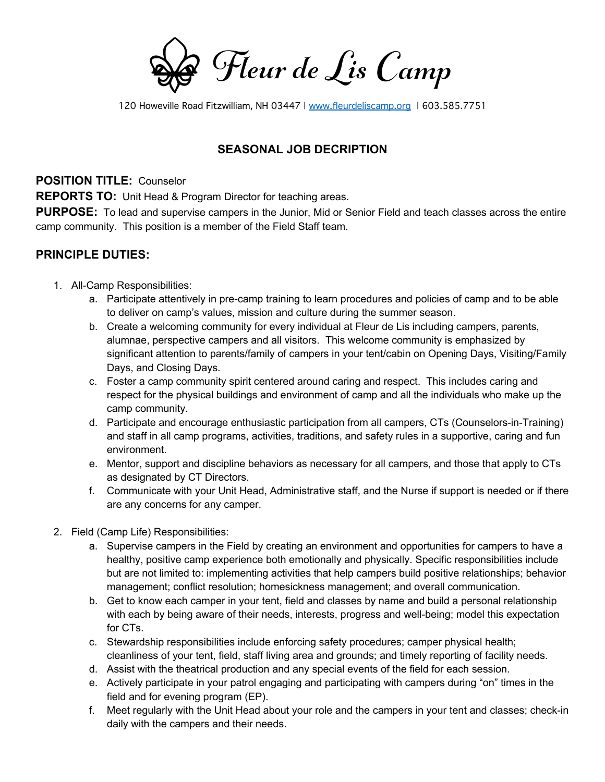Fleur de Lis Camp

120 Howeville Road Fitzwilliam, NH 03447 | www.fleurdeliscamp.org | 603.585.7751

## **SEASONAL JOB DECRIPTION**

**POSITION TITLE:** Counselor

**REPORTS TO:** Unit Head & Program Director for teaching areas.

**PURPOSE:** To lead and supervise campers in the Junior, Mid or Senior Field and teach classes across the entire camp community. This position is a member of the Field Staff team.

## **PRINCIPLE DUTIES:**

- 1. All-Camp Responsibilities:
	- a. Participate attentively in pre-camp training to learn procedures and policies of camp and to be able to deliver on camp's values, mission and culture during the summer season.
	- b. Create a welcoming community for every individual at Fleur de Lis including campers, parents, alumnae, perspective campers and all visitors. This welcome community is emphasized by significant attention to parents/family of campers in your tent/cabin on Opening Days, Visiting/Family Days, and Closing Days.
	- c. Foster a camp community spirit centered around caring and respect. This includes caring and respect for the physical buildings and environment of camp and all the individuals who make up the camp community.
	- d. Participate and encourage enthusiastic participation from all campers, CTs (Counselors-in-Training) and staff in all camp programs, activities, traditions, and safety rules in a supportive, caring and fun environment.
	- e. Mentor, support and discipline behaviors as necessary for all campers, and those that apply to CTs as designated by CT Directors.
	- f. Communicate with your Unit Head, Administrative staff, and the Nurse if support is needed or if there are any concerns for any camper.
- 2. Field (Camp Life) Responsibilities:
	- a. Supervise campers in the Field by creating an environment and opportunities for campers to have a healthy, positive camp experience both emotionally and physically. Specific responsibilities include but are not limited to: implementing activities that help campers build positive relationships; behavior management; conflict resolution; homesickness management; and overall communication.
	- b. Get to know each camper in your tent, field and classes by name and build a personal relationship with each by being aware of their needs, interests, progress and well-being; model this expectation for CTs.
	- c. Stewardship responsibilities include enforcing safety procedures; camper physical health; cleanliness of your tent, field, staff living area and grounds; and timely reporting of facility needs.
	- d. Assist with the theatrical production and any special events of the field for each session.
	- e. Actively participate in your patrol engaging and participating with campers during "on" times in the field and for evening program (EP).
	- f. Meet regularly with the Unit Head about your role and the campers in your tent and classes; check-in daily with the campers and their needs.